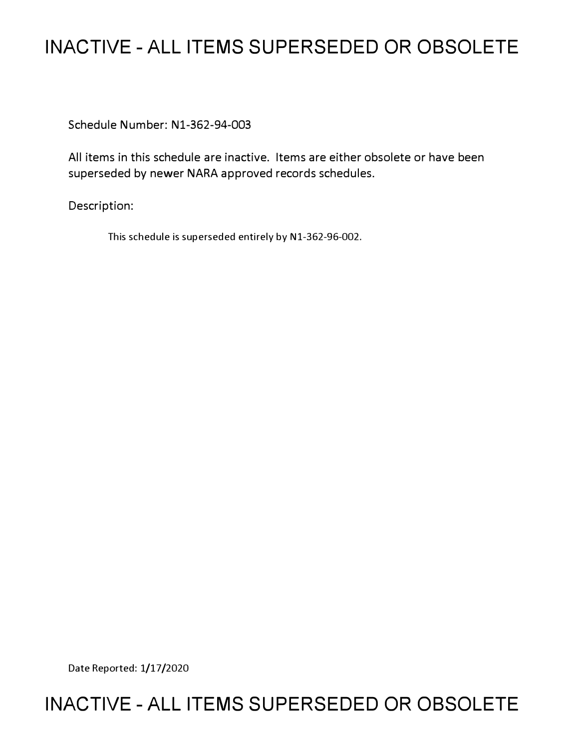## **INACTIVE - ALL ITEMS SUPERSEDED OR OBSOLETE**

Schedule Number: Nl-362-94-003

All items in this schedule are inactive. Items are either obsolete or have been superseded by newer NARA approved records schedules.

Description:

This schedule is superseded entirely by Nl-362-96-002.

Date Reported: 1/17/2020

## **INACTIVE - ALL ITEMS SUPERSEDED OR OBSOLETE**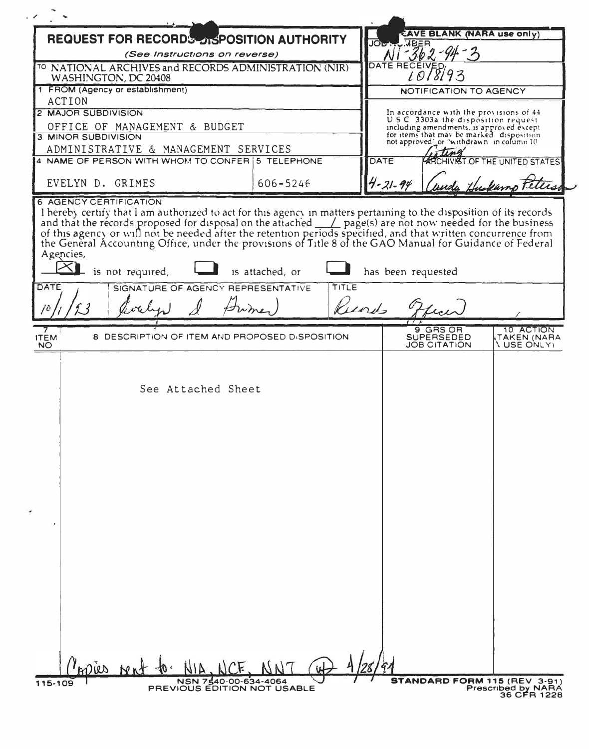| <b>CAVE BLANK (NARA use only)</b><br><b>REQUEST FOR RECORDS DISPOSITION AUTHORITY</b><br>$-362 - 94 - 3$<br>(See Instructions on reverse)<br>DATE RECEIVED<br><sup>TO</sup> NATIONAL ARCHIVES and RECORDS ADMINISTRATION (NIR)<br>1018193<br>WASHINGTON, DC 20408<br>1 FROM (Agency or establishment)<br>NOTIFICATION TO AGENCY<br><b>ACTION</b><br>2 MAJOR SUBDIVISION<br>In accordance with the provisions of 44<br>U.S.C. 3303a the disposition request.<br>OFFICE OF MANAGEMENT & BUDGET<br>including amendments, is approved except<br>for items that may be marked disposition<br>3 MINOR SUBDIVISION<br>not approved's or "withdrawn in column 10<br>ADMINISTRATIVE & MANAGEMENT SERVICES<br><b>DATE</b><br>4 NAME OF PERSON WITH WHOM TO CONFER 5 TELEPHONE<br><b>ARCHIVIST OF THE UNITED STATES</b><br>$4 - 21 - 94$<br>EVELYN D. GRIMES<br>$606 - 5246$<br><b>6 AGENCY CERTIFICATION</b><br>I hereby certify that I am authorized to act for this agency in matters pertaining to the disposition of its records<br>and that the records proposed for disposal on the attached $\_\_\_\_$ page(s) are not now needed for the business<br>of this agency or will not be needed after the retention periods specified, and that written concurrence from<br>the General Accounting Office, under the provisions of Title 8 of the GAO Manual for Guidance of Federal<br>Agencies,<br>$\times$ l<br>is not required,<br>is attached, or<br>has been requested<br>DATE<br>TITLE<br>SIGNATURE OF AGENCY REPRESENTATIVE<br>Kunds<br>9 GRS OR<br>10 ACTION<br>8 DESCRIPTION OF ITEM AND PROPOSED DISPOSITION<br><b>ITEM</b><br><b>SUPERSEDED</b><br>TAKEN (NARA<br><b>JOB CITATION</b><br><b>\ USE ONLY)</b><br><b>NO</b><br>See Attached Sheet<br>we knot to<br>STANDARD FORM 115 (REV 3-91)<br>NSN 7540-00-634-4064<br>115-109<br>PREVIOUS EDITION NOT USABLE<br><b>Prescribed by NARA</b> |  |  |  |  |  |  |  |
|-------------------------------------------------------------------------------------------------------------------------------------------------------------------------------------------------------------------------------------------------------------------------------------------------------------------------------------------------------------------------------------------------------------------------------------------------------------------------------------------------------------------------------------------------------------------------------------------------------------------------------------------------------------------------------------------------------------------------------------------------------------------------------------------------------------------------------------------------------------------------------------------------------------------------------------------------------------------------------------------------------------------------------------------------------------------------------------------------------------------------------------------------------------------------------------------------------------------------------------------------------------------------------------------------------------------------------------------------------------------------------------------------------------------------------------------------------------------------------------------------------------------------------------------------------------------------------------------------------------------------------------------------------------------------------------------------------------------------------------------------------------------------------------------------------------------------------------------------------------------------------------------------|--|--|--|--|--|--|--|
|                                                                                                                                                                                                                                                                                                                                                                                                                                                                                                                                                                                                                                                                                                                                                                                                                                                                                                                                                                                                                                                                                                                                                                                                                                                                                                                                                                                                                                                                                                                                                                                                                                                                                                                                                                                                                                                                                                 |  |  |  |  |  |  |  |
|                                                                                                                                                                                                                                                                                                                                                                                                                                                                                                                                                                                                                                                                                                                                                                                                                                                                                                                                                                                                                                                                                                                                                                                                                                                                                                                                                                                                                                                                                                                                                                                                                                                                                                                                                                                                                                                                                                 |  |  |  |  |  |  |  |
|                                                                                                                                                                                                                                                                                                                                                                                                                                                                                                                                                                                                                                                                                                                                                                                                                                                                                                                                                                                                                                                                                                                                                                                                                                                                                                                                                                                                                                                                                                                                                                                                                                                                                                                                                                                                                                                                                                 |  |  |  |  |  |  |  |
|                                                                                                                                                                                                                                                                                                                                                                                                                                                                                                                                                                                                                                                                                                                                                                                                                                                                                                                                                                                                                                                                                                                                                                                                                                                                                                                                                                                                                                                                                                                                                                                                                                                                                                                                                                                                                                                                                                 |  |  |  |  |  |  |  |
|                                                                                                                                                                                                                                                                                                                                                                                                                                                                                                                                                                                                                                                                                                                                                                                                                                                                                                                                                                                                                                                                                                                                                                                                                                                                                                                                                                                                                                                                                                                                                                                                                                                                                                                                                                                                                                                                                                 |  |  |  |  |  |  |  |
|                                                                                                                                                                                                                                                                                                                                                                                                                                                                                                                                                                                                                                                                                                                                                                                                                                                                                                                                                                                                                                                                                                                                                                                                                                                                                                                                                                                                                                                                                                                                                                                                                                                                                                                                                                                                                                                                                                 |  |  |  |  |  |  |  |
|                                                                                                                                                                                                                                                                                                                                                                                                                                                                                                                                                                                                                                                                                                                                                                                                                                                                                                                                                                                                                                                                                                                                                                                                                                                                                                                                                                                                                                                                                                                                                                                                                                                                                                                                                                                                                                                                                                 |  |  |  |  |  |  |  |
|                                                                                                                                                                                                                                                                                                                                                                                                                                                                                                                                                                                                                                                                                                                                                                                                                                                                                                                                                                                                                                                                                                                                                                                                                                                                                                                                                                                                                                                                                                                                                                                                                                                                                                                                                                                                                                                                                                 |  |  |  |  |  |  |  |
|                                                                                                                                                                                                                                                                                                                                                                                                                                                                                                                                                                                                                                                                                                                                                                                                                                                                                                                                                                                                                                                                                                                                                                                                                                                                                                                                                                                                                                                                                                                                                                                                                                                                                                                                                                                                                                                                                                 |  |  |  |  |  |  |  |
|                                                                                                                                                                                                                                                                                                                                                                                                                                                                                                                                                                                                                                                                                                                                                                                                                                                                                                                                                                                                                                                                                                                                                                                                                                                                                                                                                                                                                                                                                                                                                                                                                                                                                                                                                                                                                                                                                                 |  |  |  |  |  |  |  |
|                                                                                                                                                                                                                                                                                                                                                                                                                                                                                                                                                                                                                                                                                                                                                                                                                                                                                                                                                                                                                                                                                                                                                                                                                                                                                                                                                                                                                                                                                                                                                                                                                                                                                                                                                                                                                                                                                                 |  |  |  |  |  |  |  |
|                                                                                                                                                                                                                                                                                                                                                                                                                                                                                                                                                                                                                                                                                                                                                                                                                                                                                                                                                                                                                                                                                                                                                                                                                                                                                                                                                                                                                                                                                                                                                                                                                                                                                                                                                                                                                                                                                                 |  |  |  |  |  |  |  |
|                                                                                                                                                                                                                                                                                                                                                                                                                                                                                                                                                                                                                                                                                                                                                                                                                                                                                                                                                                                                                                                                                                                                                                                                                                                                                                                                                                                                                                                                                                                                                                                                                                                                                                                                                                                                                                                                                                 |  |  |  |  |  |  |  |